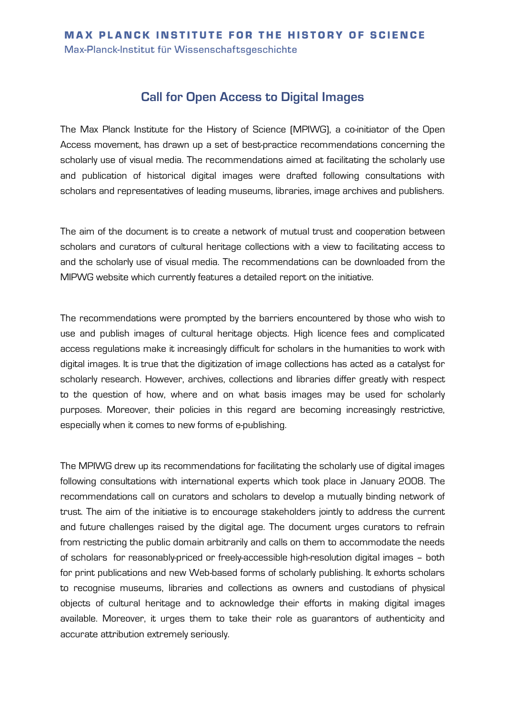## **MAX PLANCK INSTITUTE FOR THE HISTORY OF SCIENCE**

Max-Planck-Institut für Wissenschaftsgeschichte

## **Call for Open Access to Digital Images**

The Max Planck Institute for the History of Science (MPIWG), a co-initiator of the Open Access movement, has drawn up a set of best-practice recommendations concerning the scholarly use of visual media. The recommendations aimed at facilitating the scholarly use and publication of historical digital images were drafted following consultations with scholars and representatives of leading museums, libraries, image archives and publishers.

The aim of the document is to create a network of mutual trust and cooperation between scholars and curators of cultural heritage collections with a view to facilitating access to and the scholarly use of visual media. The recommendations can be downloaded from the MIPWG website which currently features a detailed report on the initiative.

The recommendations were prompted by the barriers encountered by those who wish to use and publish images of cultural heritage objects. High licence fees and complicated access regulations make it increasingly difficult for scholars in the humanities to work with digital images. It is true that the digitization of image collections has acted as a catalyst for scholarly research. However, archives, collections and libraries differ greatly with respect to the question of how, where and on what basis images may be used for scholarly purposes. Moreover, their policies in this regard are becoming increasingly restrictive, especially when it comes to new forms of e-publishing.

The MPIWG drew up its recommendations for facilitating the scholarly use of digital images following consultations with international experts which took place in January 2008. The recommendations call on curators and scholars to develop a mutually binding network of trust. The aim of the initiative is to encourage stakeholders jointly to address the current and future challenges raised by the digital age. The document urges curators to refrain from restricting the public domain arbitrarily and calls on them to accommodate the needs of scholars for reasonably-priced or freely-accessible high-resolution digital images – both for print publications and new Web-based forms of scholarly publishing. It exhorts scholars to recognise museums, libraries and collections as owners and custodians of physical objects of cultural heritage and to acknowledge their efforts in making digital images available. Moreover, it urges them to take their role as guarantors of authenticity and accurate attribution extremely seriously.